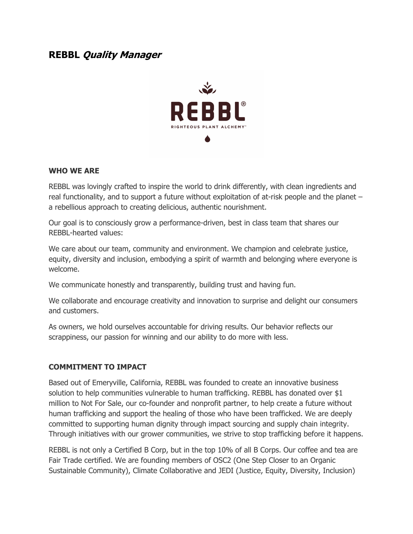# **REBBL Quality Manager**



#### **WHO WE ARE**

REBBL was lovingly crafted to inspire the world to drink differently, with clean ingredients and real functionality, and to support a future without exploitation of at-risk people and the planet – a rebellious approach to creating delicious, authentic nourishment.

Our goal is to consciously grow a performance-driven, best in class team that shares our REBBL-hearted values:

We care about our team, community and environment. We champion and celebrate justice, equity, diversity and inclusion, embodying a spirit of warmth and belonging where everyone is welcome.

We communicate honestly and transparently, building trust and having fun.

We collaborate and encourage creativity and innovation to surprise and delight our consumers and customers.

As owners, we hold ourselves accountable for driving results. Our behavior reflects our scrappiness, our passion for winning and our ability to do more with less.

#### **COMMITMENT TO IMPACT**

Based out of Emeryville, California, REBBL was founded to create an innovative business solution to help communities vulnerable to human trafficking. REBBL has donated over \$1 million to Not For Sale, our co-founder and nonprofit partner, to help create a future without human trafficking and support the healing of those who have been trafficked. We are deeply committed to supporting human dignity through impact sourcing and supply chain integrity. Through initiatives with our grower communities, we strive to stop trafficking before it happens.

REBBL is not only a Certified B Corp, but in the top 10% of all B Corps. Our coffee and tea are Fair Trade certified. We are founding members of OSC2 (One Step Closer to an Organic Sustainable Community), Climate Collaborative and JEDI (Justice, Equity, Diversity, Inclusion)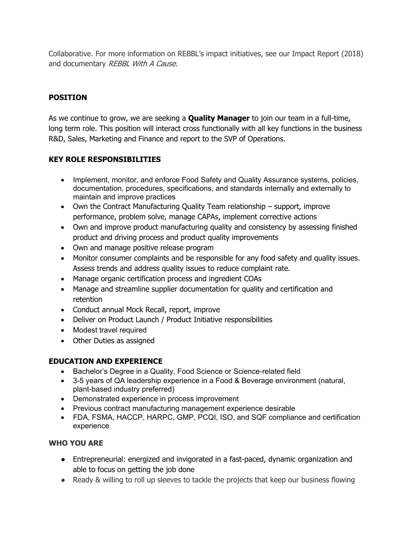Collaborative. For more information on REBBL's impact initiatives, see our Impact Report (2018) and documentary REBBL With A Cause.

# **POSITION**

As we continue to grow, we are seeking a **Quality Manager** to join our team in a full-time, long term role. This position will interact cross functionally with all key functions in the business R&D, Sales, Marketing and Finance and report to the SVP of Operations.

## **KEY ROLE RESPONSIBILITIES**

- Implement, monitor, and enforce Food Safety and Quality Assurance systems, policies, documentation, procedures, specifications, and standards internally and externally to maintain and improve practices
- Own the Contract Manufacturing Quality Team relationship support, improve performance, problem solve, manage CAPAs, implement corrective actions
- Own and improve product manufacturing quality and consistency by assessing finished product and driving process and product quality improvements
- Own and manage positive release program
- Monitor consumer complaints and be responsible for any food safety and quality issues. Assess trends and address quality issues to reduce complaint rate.
- Manage organic certification process and ingredient COAs
- Manage and streamline supplier documentation for quality and certification and retention
- Conduct annual Mock Recall, report, improve
- Deliver on Product Launch / Product Initiative responsibilities
- Modest travel required
- Other Duties as assigned

### **EDUCATION AND EXPERIENCE**

- Bachelor's Degree in a Quality, Food Science or Science-related field
- 3-5 years of QA leadership experience in a Food & Beverage environment (natural, plant-based industry preferred)
- Demonstrated experience in process improvement
- Previous contract manufacturing management experience desirable
- FDA, FSMA, HACCP, HARPC, GMP, PCQI, ISO, and SQF compliance and certification experience

### **WHO YOU ARE**

- Entrepreneurial: energized and invigorated in a fast-paced, dynamic organization and able to focus on getting the job done
- Ready & willing to roll up sleeves to tackle the projects that keep our business flowing